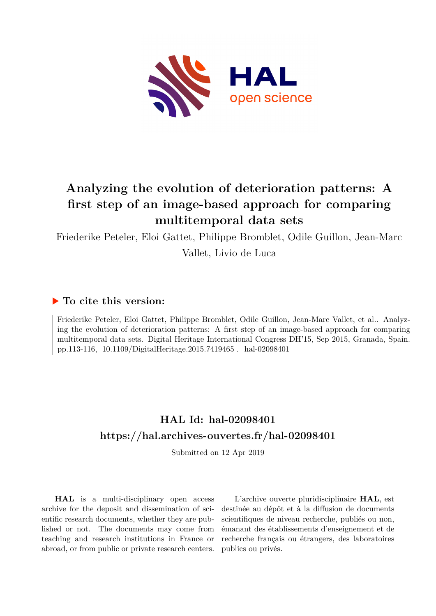

## **Analyzing the evolution of deterioration patterns: A first step of an image-based approach for comparing multitemporal data sets**

Friederike Peteler, Eloi Gattet, Philippe Bromblet, Odile Guillon, Jean-Marc

Vallet, Livio de Luca

### **To cite this version:**

Friederike Peteler, Eloi Gattet, Philippe Bromblet, Odile Guillon, Jean-Marc Vallet, et al.. Analyzing the evolution of deterioration patterns: A first step of an image-based approach for comparing multitemporal data sets. Digital Heritage International Congress DH'15, Sep 2015, Granada, Spain. pp.113-116, 10.1109/DigitalHeritage.2015.7419465. hal-02098401

## **HAL Id: hal-02098401 <https://hal.archives-ouvertes.fr/hal-02098401>**

Submitted on 12 Apr 2019

**HAL** is a multi-disciplinary open access archive for the deposit and dissemination of scientific research documents, whether they are published or not. The documents may come from teaching and research institutions in France or abroad, or from public or private research centers.

L'archive ouverte pluridisciplinaire **HAL**, est destinée au dépôt et à la diffusion de documents scientifiques de niveau recherche, publiés ou non, émanant des établissements d'enseignement et de recherche français ou étrangers, des laboratoires publics ou privés.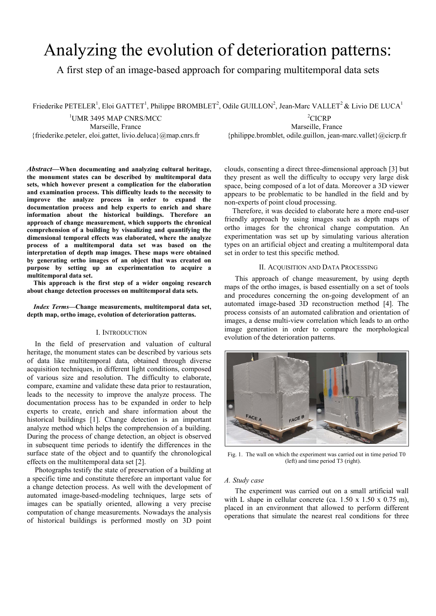# Analyzing the evolution of deterioration patterns:

A first step of an image-based approach for comparing multitemporal data sets

Friederike PETELER<sup>1</sup>, Eloi GATTET<sup>1</sup>, Philippe BROMBLET<sup>2</sup>, Odile GUILLON<sup>2</sup>, Jean-Marc VALLET<sup>2</sup> & Livio DE LUCA<sup>1</sup>

1 UMR 3495 MAP CNRS/MCC Marseille, France {friederike.peteler, eloi.gattet, livio.deluca}@map.cnrs.fr

2 CICRP Marseille, France {philippe.bromblet, odile.guillon, jean-marc.vallet}@cicrp.fr

*Abstract***—When documenting and analyzing cultural heritage, the monument states can be described by multitemporal data sets, which however present a complication for the elaboration and examination process. This difficulty leads to the necessity to improve the analyze process in order to expand the documentation process and help experts to enrich and share information about the historical buildings. Therefore an approach of change measurement, which supports the chronical comprehension of a building by visualizing and quantifying the dimensional temporal effects was elaborated, where the analyze process of a multitemporal data set was based on the interpretation of depth map images. These maps were obtained by generating ortho images of an object that was created on purpose by setting up an experimentation to acquire a multitemporal data set.** 

**This approach is the first step of a wider ongoing research about change detection processes on multitemporal data sets.** 

*Index Terms***—Change measurements, multitemporal data set, depth map, ortho image, evolution of deterioration patterns.** 

#### I. INTRODUCTION

In the field of preservation and valuation of cultural heritage, the monument states can be described by various sets of data like multitemporal data, obtained through diverse acquisition techniques, in different light conditions, composed of various size and resolution. The difficulty to elaborate, compare, examine and validate these data prior to restauration, leads to the necessity to improve the analyze process. The documentation process has to be expanded in order to help experts to create, enrich and share information about the historical buildings [1]. Change detection is an important analyze method which helps the comprehension of a building. During the process of change detection, an object is observed in subsequent time periods to identify the differences in the surface state of the object and to quantify the chronological effects on the multitemporal data set [2].

Photographs testify the state of preservation of a building at a specific time and constitute therefore an important value for a change detection process. As well with the development of automated image-based-modeling techniques, large sets of images can be spatially oriented, allowing a very precise computation of change measurements. Nowadays the analysis of historical buildings is performed mostly on 3D point

clouds, consenting a direct three-dimensional approach [3] but they present as well the difficulty to occupy very large disk space, being composed of a lot of data. Moreover a 3D viewer appears to be problematic to be handled in the field and by non-experts of point cloud processing.

Therefore, it was decided to elaborate here a more end-user friendly approach by using images such as depth maps of ortho images for the chronical change computation. An experimentation was set up by simulating various alteration types on an artificial object and creating a multitemporal data set in order to test this specific method.

#### II. ACQUISITION AND DATA PROCESSING

This approach of change measurement, by using depth maps of the ortho images, is based essentially on a set of tools and procedures concerning the on-going development of an automated image-based 3D reconstruction method [4]. The process consists of an automated calibration and orientation of images, a dense multi-view correlation which leads to an ortho image generation in order to compare the morphological evolution of the deterioration patterns.



Fig. 1. The wall on which the experiment was carried out in time period T0 (left) and time period T3 (right).

#### *A. Study case*

The experiment was carried out on a small artificial wall with L shape in cellular concrete (ca.  $1.50 \times 1.50 \times 0.75$  m), placed in an environment that allowed to perform different operations that simulate the nearest real conditions for three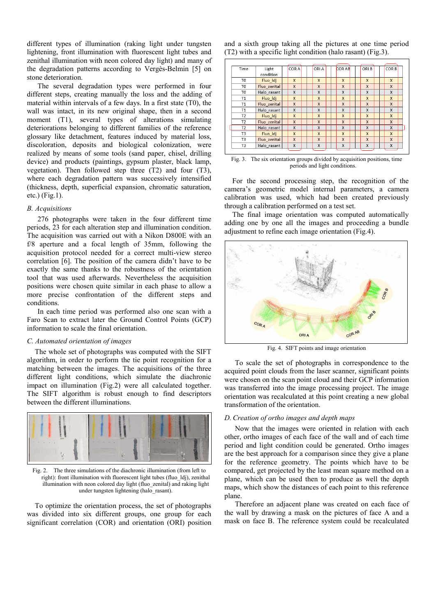different types of illumination (raking light under tungsten lightening, front illumination with fluorescent light tubes and zenithal illumination with neon colored day light) and many of the degradation patterns according to Vergès-Belmin [5] on stone deterioration.

The several degradation types were performed in four different steps, creating manually the loss and the adding of material within intervals of a few days. In a first state (T0), the wall was intact, in its new original shape, then in a second moment (T1), several types of alterations simulating deteriorations belonging to different families of the reference glossary like detachment, features induced by material loss, discoloration, deposits and biological colonization, were realized by means of some tools (sand paper, chisel, drilling device) and products (paintings, gypsum plaster, black lamp, vegetation). Then followed step three (T2) and four (T3), where each degradation pattern was successively intensified (thickness, depth, superficial expansion, chromatic saturation, etc.) (Fig.1).

#### *B. Acquisitions*

276 photographs were taken in the four different time periods, 23 for each alteration step and illumination condition. The acquisition was carried out with a Nikon D800E with an f/8 aperture and a focal length of 35mm, following the acquisition protocol needed for a correct multi-view stereo correlation [6]. The position of the camera didn't have to be exactly the same thanks to the robustness of the orientation tool that was used afterwards. Nevertheless the acquisition positions were chosen quite similar in each phase to allow a more precise confrontation of the different steps and conditions.

In each time period was performed also one scan with a Faro Scan to extract later the Ground Control Points (GCP) information to scale the final orientation.

#### *C. Automated orientation of images*

The whole set of photographs was computed with the SIFT algorithm, in order to perform the tie point recognition for a matching between the images. The acquisitions of the three different light conditions, which simulate the diachronic impact on illumination (Fig.2) were all calculated together. The SIFT algorithm is robust enough to find descriptors between the different illuminations.



Fig. 2. The three simulations of the diachronic illumination (from left to right): front illumination with fluorescent light tubes (fluo\_ldj), zenithal illumination with neon colored day light (fluo\_zenital) and raking light under tungsten lightening (halo rasant).

To optimize the orientation process, the set of photographs was divided into six different groups, one group for each significant correlation (COR) and orientation (ORI) position

and a sixth group taking all the pictures at one time period (T2) with a specific light condition (halo rasant) (Fig.3).

| Time           | Light        | COR A |  | ORI A |  | <b>CORAB</b> |  | ORI B        |  | COR B |  |
|----------------|--------------|-------|--|-------|--|--------------|--|--------------|--|-------|--|
|                | condition    |       |  |       |  |              |  |              |  |       |  |
| T <sub>0</sub> | Fluo Idj     | X     |  | X     |  | X            |  | X            |  | X     |  |
| T <sub>0</sub> | Fluo zenital | X     |  | X     |  | X            |  | X            |  | X     |  |
| T <sub>0</sub> | Halo_rasant  | X     |  | X     |  | X            |  | X            |  | X     |  |
| T <sub>1</sub> | Fluo Idj     | X     |  | X     |  | X            |  | X            |  | X     |  |
| T <sub>1</sub> | Fluo zenital | X     |  | X     |  | X            |  | X            |  | X     |  |
| T <sub>1</sub> | Halo rasant  | X     |  | X     |  | X            |  | X            |  | X     |  |
| T <sub>2</sub> | Fluo Idj     | X     |  | X     |  | X            |  | $\mathsf{x}$ |  | X     |  |
| T <sub>2</sub> | Fluo zenital | X     |  | X     |  | X            |  | X            |  | X     |  |
| T <sub>2</sub> | Halo rasant  | X     |  | X     |  | X            |  | X            |  | X     |  |
| T <sub>3</sub> | Fluo Idi     | X     |  | X     |  | X            |  | $\mathsf{x}$ |  | X     |  |
| T <sub>3</sub> | Fluo zenital | X     |  | X     |  | X            |  | $\mathsf{x}$ |  | X     |  |
| T <sub>3</sub> | Halo rasant  | X     |  | X     |  | X            |  | X            |  | X     |  |
|                |              |       |  |       |  |              |  |              |  |       |  |

Fig. 3. The six orientation groups divided by acquisition positions, time periods and light conditions.

For the second processing step, the recognition of the camera's geometric model internal parameters, a camera calibration was used, which had been created previously through a calibration performed on a test set.

The final image orientation was computed automatically adding one by one all the images and proceeding a bundle adjustment to refine each image orientation (Fig.4).



Fig. 4. SIFT points and image orientation

To scale the set of photographs in correspondence to the acquired point clouds from the laser scanner, significant points were chosen on the scan point cloud and their GCP information was transferred into the image processing project. The image orientation was recalculated at this point creating a new global transformation of the orientation.

#### *D. Creation of ortho images and depth maps*

Now that the images were oriented in relation with each other, ortho images of each face of the wall and of each time period and light condition could be generated. Ortho images are the best approach for a comparison since they give a plane for the reference geometry. The points which have to be compared, get projected by the least mean square method on a plane, which can be used then to produce as well the depth maps, which show the distances of each point to this reference plane.

Therefore an adjacent plane was created on each face of the wall by drawing a mask on the pictures of face A and a mask on face B. The reference system could be recalculated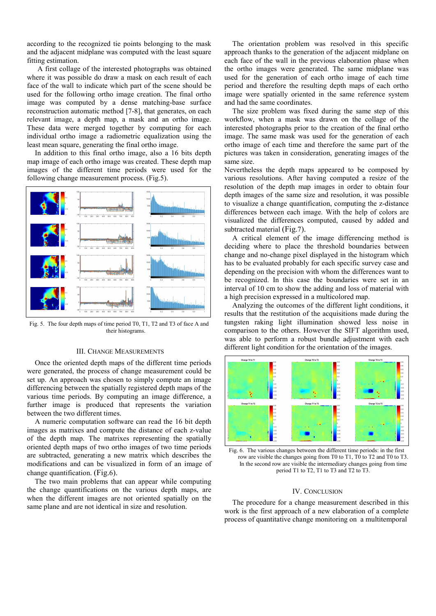according to the recognized tie points belonging to the mask and the adjacent midplane was computed with the least square fitting estimation.

A first collage of the interested photographs was obtained where it was possible do draw a mask on each result of each face of the wall to indicate which part of the scene should be used for the following ortho image creation. The final ortho image was computed by a dense matching-base surface reconstruction automatic method [7-8], that generates, on each relevant image, a depth map, a mask and an ortho image. These data were merged together by computing for each individual ortho image a radiometric equalization using the least mean square, generating the final ortho image.

In addition to this final ortho image, also a 16 bits depth map image of each ortho image was created. These depth map images of the different time periods were used for the following change measurement process. (Fig.5).



Fig. 5. The four depth maps of time period T0, T1, T2 and T3 of face A and their histograms.

#### III. CHANGE MEASUREMENTS

Once the oriented depth maps of the different time periods were generated, the process of change measurement could be set up. An approach was chosen to simply compute an image differencing between the spatially registered depth maps of the various time periods. By computing an image difference, a further image is produced that represents the variation between the two different times.

A numeric computation software can read the 16 bit depth images as matrixes and compute the distance of each z-value of the depth map. The matrixes representing the spatially oriented depth maps of two ortho images of two time periods are subtracted, generating a new matrix which describes the modifications and can be visualized in form of an image of change quantification. (Fig.6).

The two main problems that can appear while computing the change quantifications on the various depth maps, are when the different images are not oriented spatially on the same plane and are not identical in size and resolution.

The orientation problem was resolved in this specific approach thanks to the generation of the adjacent midplane on each face of the wall in the previous elaboration phase when the ortho images were generated. The same midplane was used for the generation of each ortho image of each time period and therefore the resulting depth maps of each ortho image were spatially oriented in the same reference system and had the same coordinates.

The size problem was fixed during the same step of this workflow, when a mask was drawn on the collage of the interested photographs prior to the creation of the final ortho image. The same mask was used for the generation of each ortho image of each time and therefore the same part of the pictures was taken in consideration, generating images of the same size.

Nevertheless the depth maps appeared to be composed by various resolutions. After having computed a resize of the resolution of the depth map images in order to obtain four depth images of the same size and resolution, it was possible to visualize a change quantification, computing the z-distance differences between each image. With the help of colors are visualized the differences computed, caused by added and subtracted material (Fig.7).

A critical element of the image differencing method is deciding where to place the threshold boundaries between change and no-change pixel displayed in the histogram which has to be evaluated probably for each specific survey case and depending on the precision with whom the differences want to be recognized. In this case the boundaries were set in an interval of 10 cm to show the adding and loss of material with a high precision expressed in a multicolored map.

Analyzing the outcomes of the different light conditions, it results that the restitution of the acquisitions made during the tungsten raking light illumination showed less noise in comparison to the others. However the SIFT algorithm used, was able to perform a robust bundle adjustment with each different light condition for the orientation of the images.



Fig. 6. The various changes between the different time periods: in the first row are visible the changes going from T0 to T1, T0 to T2 and T0 to T3. In the second row are visible the intermediary changes going from time period T1 to T2, T1 to T3 and T2 to T3.

#### IV. CONCLUSION

The procedure for a change measurement described in this work is the first approach of a new elaboration of a complete process of quantitative change monitoring on a multitemporal